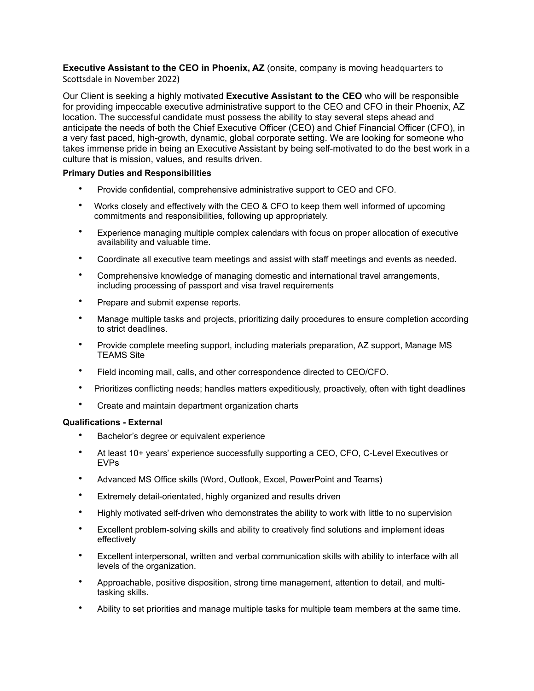**Executive Assistant to the CEO in Phoenix, AZ** (onsite, company is moving headquarters to Scottsdale in November 2022)

Our Client is seeking a highly motivated **Executive Assistant to the CEO** who will be responsible for providing impeccable executive administrative support to the CEO and CFO in their Phoenix, AZ location. The successful candidate must possess the ability to stay several steps ahead and anticipate the needs of both the Chief Executive Officer (CEO) and Chief Financial Officer (CFO), in a very fast paced, high-growth, dynamic, global corporate setting. We are looking for someone who takes immense pride in being an Executive Assistant by being self-motivated to do the best work in a culture that is mission, values, and results driven.

## **Primary Duties and Responsibilities**

- Provide confidential, comprehensive administrative support to CEO and CFO.
- Works closely and effectively with the CEO & CFO to keep them well informed of upcoming commitments and responsibilities, following up appropriately.
- Experience managing multiple complex calendars with focus on proper allocation of executive availability and valuable time.
- Coordinate all executive team meetings and assist with staff meetings and events as needed.
- Comprehensive knowledge of managing domestic and international travel arrangements, including processing of passport and visa travel requirements
- Prepare and submit expense reports.
- Manage multiple tasks and projects, prioritizing daily procedures to ensure completion according to strict deadlines.
- Provide complete meeting support, including materials preparation, AZ support, Manage MS TEAMS Site
- Field incoming mail, calls, and other correspondence directed to CEO/CFO.
- Prioritizes conflicting needs; handles matters expeditiously, proactively, often with tight deadlines
- Create and maintain department organization charts

## **Qualifications - External**

- Bachelor's degree or equivalent experience
- At least 10+ years' experience successfully supporting a CEO, CFO, C-Level Executives or EVPs
- Advanced MS Office skills (Word, Outlook, Excel, PowerPoint and Teams)
- Extremely detail-orientated, highly organized and results driven
- Highly motivated self-driven who demonstrates the ability to work with little to no supervision
- Excellent problem-solving skills and ability to creatively find solutions and implement ideas effectively
- Excellent interpersonal, written and verbal communication skills with ability to interface with all levels of the organization.
- Approachable, positive disposition, strong time management, attention to detail, and multitasking skills.
- Ability to set priorities and manage multiple tasks for multiple team members at the same time.